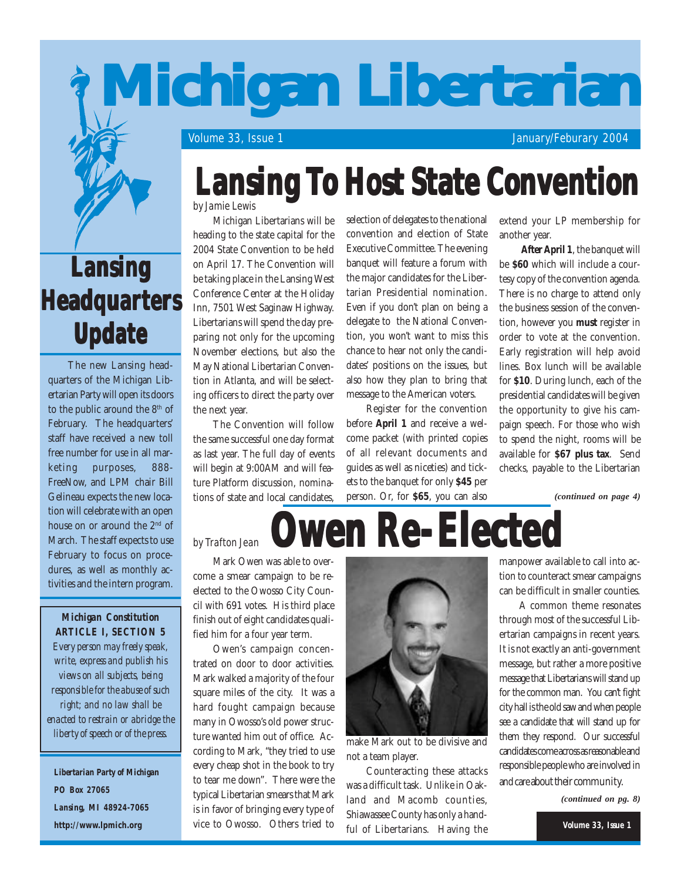

## **Lansing LansingLansing Headquarters Update**

The new Lansing headquarters of the Michigan Libertarian Party will open its doors to the public around the 8<sup>th</sup> of February. The headquarters' staff have received a new toll free number for use in all marketing purposes, 888- FreeNow, and LPM chair Bill Gelineau expects the new location will celebrate with an open house on or around the 2<sup>nd</sup> of March. The staff expects to use February to focus on procedures, as well as monthly activities and the intern program.

*Michigan Constitution ARTICLE I, SECTION 5 Every person may freely speak, write, express and publish his views on all subjects, being responsible for the abuse of such right; and no law shall be enacted to restrain or abridge the liberty of speech or of the press.*

*Libertarian Party of Michigan PO Box 27065 Lansing, MI 48924-7065* **http://www.lpmich.org**

## **Lansing To Host State Convention**

by Jamie Lewis

Michigan Libertarians will be heading to the state capital for the 2004 State Convention to be held on April 17. The Convention will be taking place in the Lansing West Conference Center at the Holiday Inn, 7501 West Saginaw Highway. Libertarians will spend the day preparing not only for the upcoming November elections, but also the May National Libertarian Convention in Atlanta, and will be selecting officers to direct the party over the next year.

The Convention will follow the same successful one day format as last year. The full day of events will begin at 9:00AM and will feature Platform discussion, nominations of state and local candidates,

selection of delegates to the national convention and election of State Executive Committee. The evening banquet will feature a forum with the major candidates for the Libertarian Presidential nomination. Even if you don't plan on being a delegate to the National Convention, you won't want to miss this chance to hear not only the candidates' positions on the issues, but also how they plan to bring that message to the American voters.

Register for the convention before **April 1** and receive a welcome packet (with printed copies of all relevant documents and guides as well as niceties) and tickets to the banquet for only **\$45** per person. Or, for **\$65**, you can also

extend your LP membership for another year.

**After April 1**, the banquet will be **\$60** which will include a courtesy copy of the convention agenda. There is no charge to attend only the business session of the convention, however you **must** register in order to vote at the convention. Early registration will help avoid lines. Box lunch will be available for **\$10**. During lunch, each of the presidential candidates will be given the opportunity to give his campaign speech. For those who wish to spend the night, rooms will be available for **\$67 plus tax**. Send checks, payable to the Libertarian

*(continued on page 4)*

## **Owen Re-Elected Owen Re-Elected Owen Re-Elected**

by Trafton Jean

Mark Owen was able to overcome a smear campaign to be reelected to the Owosso City Council with 691 votes. His third place finish out of eight candidates qualified him for a four year term.

Owen's campaign concentrated on door to door activities. Mark walked a majority of the four square miles of the city. It was a hard fought campaign because many in Owosso's old power structure wanted him out of office. According to Mark, "they tried to use every cheap shot in the book to try to tear me down". There were the typical Libertarian smears that Mark is in favor of bringing every type of vice to Owosso. Others tried to



make Mark out to be divisive and not a team player.

Counteracting these attacks was a difficult task. Unlike in Oakland and Macomb counties, Shiawassee County has only a handful of Libertarians. Having the

manpower available to call into action to counteract smear campaigns can be difficult in smaller counties.

A common theme resonates through most of the successful Libertarian campaigns in recent years. It is not exactly an anti-government message, but rather a more positive message that Libertarians will stand up for the common man. You can't fight city hall is the old saw and when people see a candidate that will stand up for them they respond. Our successful candidates come across as reasonable and responsible people who are involved in and care about their community.

*(continued on pg. 8)*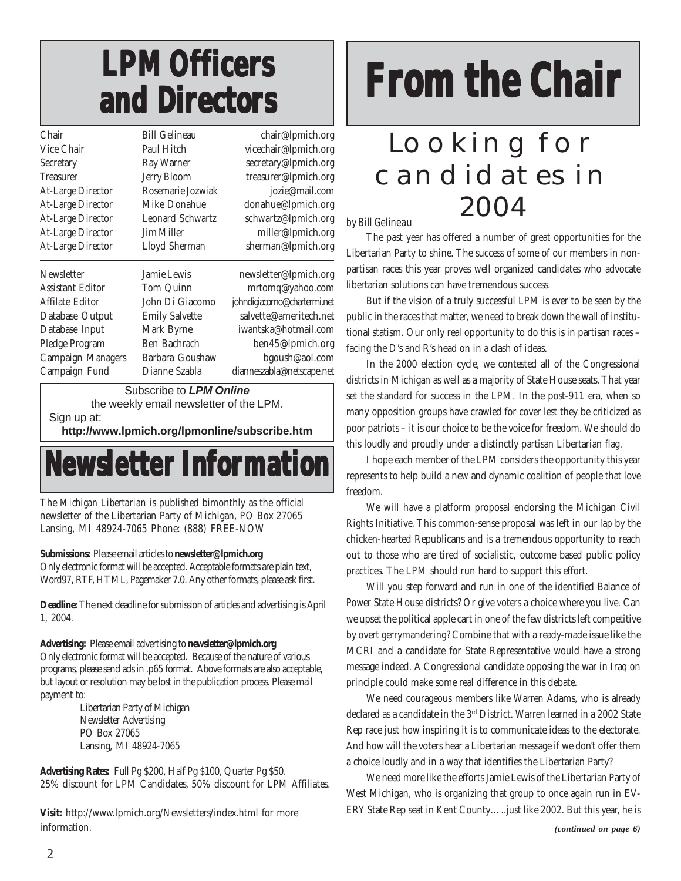## **LPM Officers LPM Officers LPM Officers and Directors and Directors and Directors**

| Chair                    | <b>Bill Gelineau</b>  | chair@lpmich.org            |
|--------------------------|-----------------------|-----------------------------|
| Vice Chair               | Paul Hitch            | vicechair@lpmich.org        |
| Secretary                | Ray Warner            | secretary@lpmich.org        |
| Treasurer                | <b>Jerry Bloom</b>    | treasurer@lpmich.org        |
| <b>At-Large Director</b> | Rosemarie Jozwiak     | jozie@mail.com              |
| <b>At-Large Director</b> | Mike Donahue          | donahue@lpmich.org          |
| <b>At-Large Director</b> | Leonard Schwartz      | schwartz@lpmich.org         |
| <b>At-Large Director</b> | <b>Jim Miller</b>     | miller@lpmich.org           |
| <b>At-Large Director</b> | Lloyd Sherman         | sherman@lpmich.org          |
|                          |                       |                             |
| Newsletter               | <b>Jamie Lewis</b>    | newsletter@lpmich.org       |
|                          |                       |                             |
| <b>Assistant Editor</b>  | Tom Quinn             | mrtomq@yahoo.com            |
| Affilate Editor          | John Di Giacomo       | johndigiacomo@chartermi.net |
| Database Output          | <b>Emily Salvette</b> | salvette@ameritech.net      |
| Database Input           | Mark Byrne            | iwantska@hotmail.com        |
| Pledge Program           | Ben Bachrach          | ben45@lpmich.org            |
| <b>Campaign Managers</b> | Barbara Goushaw       | bgoush@aol.com              |
| Campaign Fund            | Dianne Szabla         | dianneszabla@netscape.net   |

Subscribe to *LPM Online* the weekly email newsletter of the LPM. Sign up at:

**http://www.lpmich.org/lpmonline/subscribe.htm**



The *Michigan Libertarian* is published bimonthly as the official newsletter of the Libertarian Party of Michigan, PO Box 27065 Lansing, MI 48924-7065 Phone: (888) FREE-NOW

### **Submissions:** Please email articles to **newsletter@lpmich.org**

Only electronic format will be accepted. Acceptable formats are plain text, Word97, RTF, HTML, Pagemaker 7.0. Any other formats, please ask first.

**Deadline:** The next deadline for submission of articles and advertising is April 1, 2004.

**Advertising:** Please email advertising to **newsletter@lpmich.org** Only electronic format will be accepted. Because of the nature of various programs, please send ads in .p65 format. Above formats are also acceptable, but layout or resolution may be lost in the publication process. Please mail payment to:

Libertarian Party of Michigan Newsletter Advertising PO Box 27065 Lansing, MI 48924-7065

**Advertising Rates:** Full Pg \$200, Half Pg \$100, Quarter Pg \$50. 25% discount for LPM Candidates, 50% discount for LPM Affiliates.

**Visit:** http://www.lpmich.org/Newsletters/index.html for more information.

# **From the Chair**

## Looking for candidates in 2004

### by Bill Gelineau

The past year has offered a number of great opportunities for the Libertarian Party to shine. The success of some of our members in nonpartisan races this year proves well organized candidates who advocate libertarian solutions can have tremendous success.

But if the vision of a truly successful LPM is ever to be seen by the public in the races that matter, we need to break down the wall of institutional statism. Our only real opportunity to do this is in partisan races – facing the D's and R's head on in a clash of ideas.

In the 2000 election cycle, we contested all of the Congressional districts in Michigan as well as a majority of State House seats. That year set the standard for success in the LPM. In the post-911 era, when so many opposition groups have crawled for cover lest they be criticized as poor patriots – it is our choice to be the voice for freedom. We should do this loudly and proudly under a distinctly partisan Libertarian flag.

I hope each member of the LPM considers the opportunity this year represents to help build a new and dynamic coalition of people that love freedom.

We will have a platform proposal endorsing the Michigan Civil Rights Initiative. This common-sense proposal was left in our lap by the chicken-hearted Republicans and is a tremendous opportunity to reach out to those who are tired of socialistic, outcome based public policy practices. The LPM should run hard to support this effort.

Will you step forward and run in one of the identified Balance of Power State House districts? Or give voters a choice where you live. Can we upset the political apple cart in one of the few districts left competitive by overt gerrymandering? Combine that with a ready-made issue like the MCRI and a candidate for State Representative would have a strong message indeed. A Congressional candidate opposing the war in Iraq on principle could make some real difference in this debate.

We need courageous members like Warren Adams, who is already declared as a candidate in the 3<sup>rd</sup> District. Warren learned in a 2002 State Rep race just how inspiring it is to communicate ideas to the electorate. And how will the voters hear a Libertarian message if we don't offer them a choice loudly and in a way that identifies the Libertarian Party?

We need more like the efforts Jamie Lewis of the Libertarian Party of West Michigan, who is organizing that group to once again run in EV-ERY State Rep seat in Kent County…..just like 2002. But this year, he is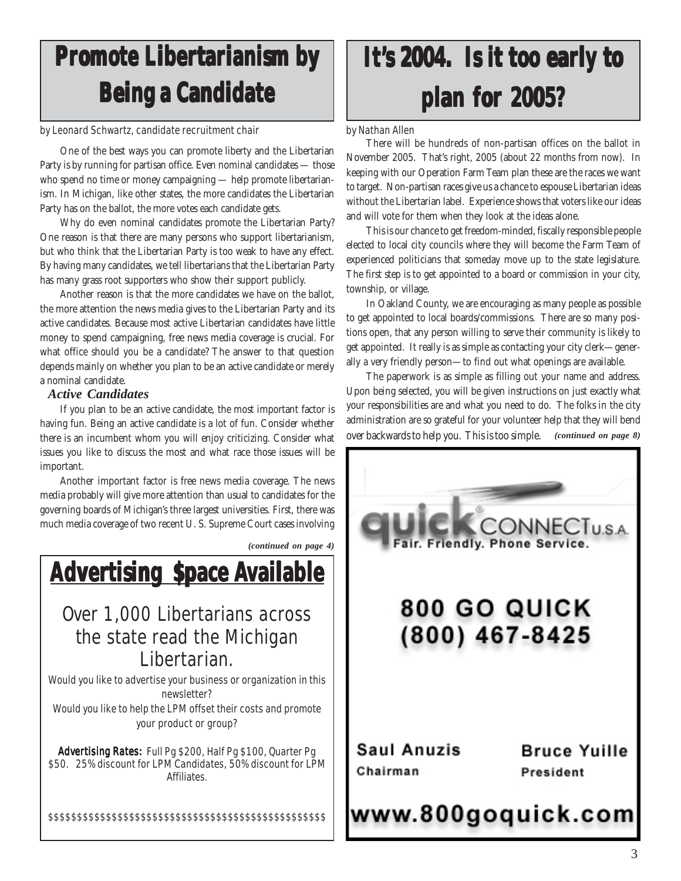## **Promote Libertarianism by Being a Candidate**

#### by Leonard Schwartz, candidate recruitment chair by Nathan Allen

One of the best ways you can promote liberty and the Libertarian Party is by running for partisan office. Even nominal candidates — those who spend no time or money campaigning — help promote libertarianism. In Michigan, like other states, the more candidates the Libertarian Party has on the ballot, the more votes each candidate gets.

Why do even nominal candidates promote the Libertarian Party? One reason is that there are many persons who support libertarianism, but who think that the Libertarian Party is too weak to have any effect. By having many candidates, we tell libertarians that the Libertarian Party has many grass root supporters who show their support publicly.

Another reason is that the more candidates we have on the ballot, the more attention the news media gives to the Libertarian Party and its active candidates. Because most active Libertarian candidates have little money to spend campaigning, free news media coverage is crucial. For what office should you be a candidate? The answer to that question depends mainly on whether you plan to be an active candidate or merely a nominal candidate.

### *Active Candidates*

If you plan to be an active candidate, the most important factor is having fun. Being an active candidate is a lot of fun. Consider whether there is an incumbent whom you will enjoy criticizing. Consider what issues you like to discuss the most and what race those issues will be important.

Another important factor is free news media coverage. The news media probably will give more attention than usual to candidates for the governing boards of Michigan's three largest universities. First, there was much media coverage of two recent U. S. Supreme Court cases involving



## It's 2004. Is it too early to **plan for 2005? plan for 2005?plan for 2005?**

There will be hundreds of non-partisan offices on the ballot in November 2005. That's right, 2005 (about 22 months from now). In keeping with our Operation Farm Team plan these are the races we want to target. Non-partisan races give us a chance to espouse Libertarian ideas without the Libertarian label. Experience shows that voters like our ideas and will vote for them when they look at the ideas alone.

This is our chance to get freedom-minded, fiscally responsible people elected to local city councils where they will become the Farm Team of experienced politicians that someday move up to the state legislature. The first step is to get appointed to a board or commission in your city, township, or village.

In Oakland County, we are encouraging as many people as possible to get appointed to local boards/commissions. There are so many positions open, that any person willing to serve their community is likely to get appointed. It really is as simple as contacting your city clerk—generally a very friendly person—to find out what openings are available.

The paperwork is as simple as filling out your name and address. Upon being selected, you will be given instructions on just exactly what your responsibilities are and what you need to do. The folks in the city administration are so grateful for your volunteer help that they will bend over backwards to help you. This is too simple. *(continued on page 8)*

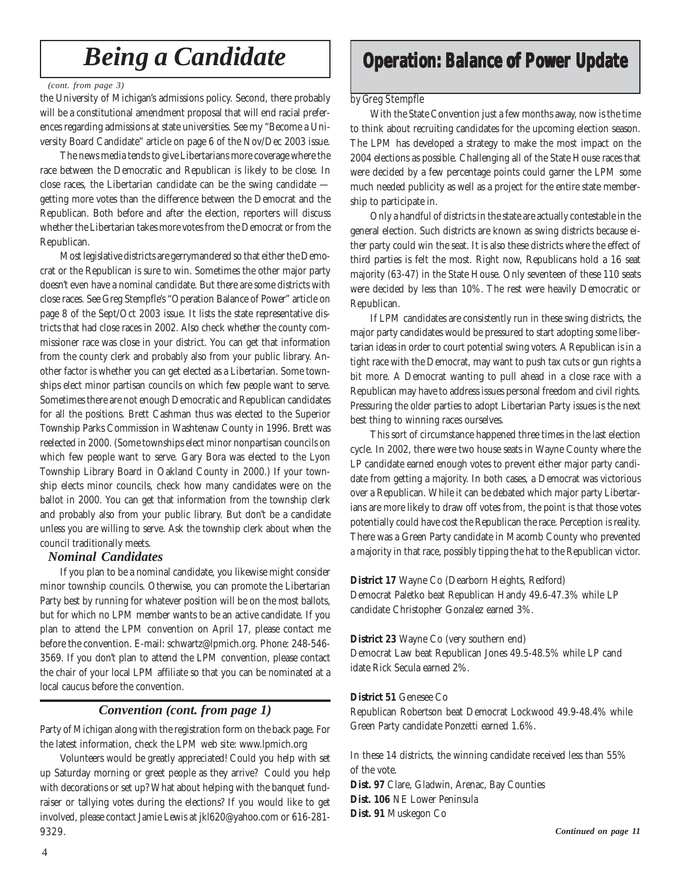### *Being a Candidate*

#### *(cont. from page 3)*

the University of Michigan's admissions policy. Second, there probably will be a constitutional amendment proposal that will end racial preferences regarding admissions at state universities. See my "Become a University Board Candidate" article on page 6 of the Nov/Dec 2003 issue.

The news media tends to give Libertarians more coverage where the race between the Democratic and Republican is likely to be close. In close races, the Libertarian candidate can be the swing candidate getting more votes than the difference between the Democrat and the Republican. Both before and after the election, reporters will discuss whether the Libertarian takes more votes from the Democrat or from the Republican.

Most legislative districts are gerrymandered so that either the Democrat or the Republican is sure to win. Sometimes the other major party doesn't even have a nominal candidate. But there are some districts with close races. See Greg Stempfle's "Operation Balance of Power" article on page 8 of the Sept/Oct 2003 issue. It lists the state representative districts that had close races in 2002. Also check whether the county commissioner race was close in your district. You can get that information from the county clerk and probably also from your public library. Another factor is whether you can get elected as a Libertarian. Some townships elect minor partisan councils on which few people want to serve. Sometimes there are not enough Democratic and Republican candidates for all the positions. Brett Cashman thus was elected to the Superior Township Parks Commission in Washtenaw County in 1996. Brett was reelected in 2000. (Some townships elect minor nonpartisan councils on which few people want to serve. Gary Bora was elected to the Lyon Township Library Board in Oakland County in 2000.) If your township elects minor councils, check how many candidates were on the ballot in 2000. You can get that information from the township clerk and probably also from your public library. But don't be a candidate unless you are willing to serve. Ask the township clerk about when the council traditionally meets.

### *Nominal Candidates*

If you plan to be a nominal candidate, you likewise might consider minor township councils. Otherwise, you can promote the Libertarian Party best by running for whatever position will be on the most ballots, but for which no LPM member wants to be an active candidate. If you plan to attend the LPM convention on April 17, please contact me before the convention. E-mail: schwartz@lpmich.org. Phone: 248-546- 3569. If you don't plan to attend the LPM convention, please contact the chair of your local LPM affiliate so that you can be nominated at a local caucus before the convention.

### *Convention (cont. from page 1)*

Party of Michigan along with the registration form on the back page. For the latest information, check the LPM web site: www.lpmich.org

Volunteers would be greatly appreciated! Could you help with set up Saturday morning or greet people as they arrive? Could you help with decorations or set up? What about helping with the banquet fundraiser or tallying votes during the elections? If you would like to get involved, please contact Jamie Lewis at jkl620@yahoo.com or 616-281- 9329.

### **Operation: Balance of Power Update**

### by Greg Stempfle

With the State Convention just a few months away, now is the time to think about recruiting candidates for the upcoming election season. The LPM has developed a strategy to make the most impact on the 2004 elections as possible. Challenging all of the State House races that were decided by a few percentage points could garner the LPM some much needed publicity as well as a project for the entire state membership to participate in.

Only a handful of districts in the state are actually contestable in the general election. Such districts are known as swing districts because either party could win the seat. It is also these districts where the effect of third parties is felt the most. Right now, Republicans hold a 16 seat majority (63-47) in the State House. Only seventeen of these 110 seats were decided by less than 10%. The rest were heavily Democratic or Republican.

If LPM candidates are consistently run in these swing districts, the major party candidates would be pressured to start adopting some libertarian ideas in order to court potential swing voters. A Republican is in a tight race with the Democrat, may want to push tax cuts or gun rights a bit more. A Democrat wanting to pull ahead in a close race with a Republican may have to address issues personal freedom and civil rights. Pressuring the older parties to adopt Libertarian Party issues is the next best thing to winning races ourselves.

This sort of circumstance happened three times in the last election cycle. In 2002, there were two house seats in Wayne County where the LP candidate earned enough votes to prevent either major party candidate from getting a majority. In both cases, a Democrat was victorious over a Republican. While it can be debated which major party Libertarians are more likely to draw off votes from, the point is that those votes potentially could have cost the Republican the race. Perception is reality. There was a Green Party candidate in Macomb County who prevented a majority in that race, possibly tipping the hat to the Republican victor.

**District 17** Wayne Co (Dearborn Heights, Redford) Democrat Paletko beat Republican Handy 49.6-47.3% while LP candidate Christopher Gonzalez earned 3%.

### **District 23** Wayne Co (very southern end)

Democrat Law beat Republican Jones 49.5-48.5% while LP cand idate Rick Secula earned 2%.

### **District 51** Genesee Co

Republican Robertson beat Democrat Lockwood 49.9-48.4% while Green Party candidate Ponzetti earned 1.6%.

In these 14 districts, the winning candidate received less than 55% of the vote. **Dist. 97** Clare, Gladwin, Arenac, Bay Counties **Dist. 106** NE Lower Peninsula

**Dist. 91** Muskegon Co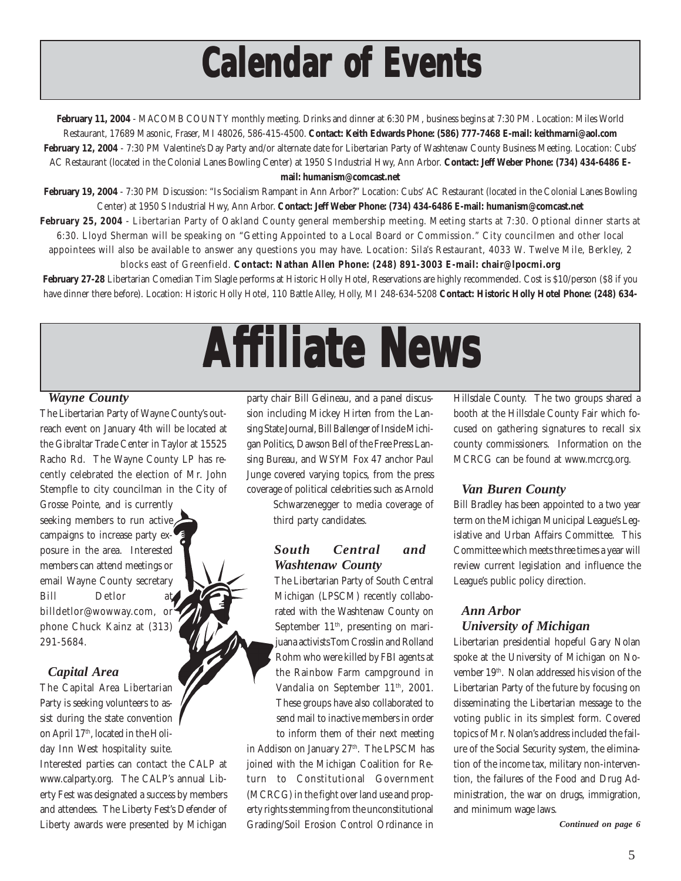## **Calendar of Events Calendar of Events Calendar of Events**

**February 11, 2004** - MACOMB COUNTY monthly meeting. Drinks and dinner at 6:30 PM, business begins at 7:30 PM. Location: Miles World Restaurant, 17689 Masonic, Fraser, MI 48026, 586-415-4500. **Contact: Keith Edwards Phone: (586) 777-7468 E-mail: keithmarni@aol.com February 12, 2004** - 7:30 PM Valentine's Day Party and/or alternate date for Libertarian Party of Washtenaw County Business Meeting. Location: Cubs' AC Restaurant (located in the Colonial Lanes Bowling Center) at 1950 S Industrial Hwy, Ann Arbor. **Contact: Jeff Weber Phone: (734) 434-6486 Email: humanism@comcast.net**

**February 19, 2004** - 7:30 PM Discussion: "Is Socialism Rampant in Ann Arbor?" Location: Cubs' AC Restaurant (located in the Colonial Lanes Bowling Center) at 1950 S Industrial Hwy, Ann Arbor. **Contact: Jeff Weber Phone: (734) 434-6486 E-mail: humanism@comcast.net**

**February 25, 2004** - Libertarian Party of Oakland County general membership meeting. Meeting starts at 7:30. Optional dinner starts at 6:30. Lloyd Sherman will be speaking on "Getting Appointed to a Local Board or Commission." City councilmen and other local appointees will also be available to answer any questions you may have. Location: Sila's Restaurant, 4033 W. Twelve Mile, Berkley, 2

blocks east of Greenfield. **Contact: Nathan Allen Phone: (248) 891-3003 E-mail: chair@lpocmi.org** February 27-28 Libertarian Comedian Tim Slagle performs at Historic Holly Hotel, Reservations are highly recommended. Cost is \$10/person (\$8 if you have dinner there before). Location: Historic Holly Hotel, 110 Battle Alley, Holly, MI 248-634-5208 **Contact: Historic Holly Hotel Phone: (248) 634-**

# **Affiliate News filiate News filiate News**

### *Wayne County*

The Libertarian Party of Wayne County's outreach event on January 4th will be located at the Gibraltar Trade Center in Taylor at 15525 Racho Rd. The Wayne County LP has recently celebrated the election of Mr. John Stempfle to city councilman in the City of

Grosse Pointe, and is currently seeking members to run active campaigns to increase party exposure in the area. Interested members can attend meetings or email Wayne County secretary Bill Detlor at billdetlor@wowway.com, or phone Chuck Kainz at (313) 291-5684.

### *Capital Area*

The Capital Area Libertarian Party is seeking volunteers to assist during the state convention on April 17<sup>th</sup>, located in the Holiday Inn West hospitality suite. Interested parties can contact the CALP at www.calparty.org. The CALP's annual Liberty Fest was designated a success by members and attendees. The Liberty Fest's Defender of Liberty awards were presented by Michigan

party chair Bill Gelineau, and a panel discussion including Mickey Hirten from the Lansing State Journal, Bill Ballenger of Inside Michigan Politics, Dawson Bell of the Free Press Lansing Bureau, and WSYM Fox 47 anchor Paul Junge covered varying topics, from the press coverage of political celebrities such as Arnold

> Schwarzenegger to media coverage of third party candidates.

### *South Central and Washtenaw County*

The Libertarian Party of South Central Michigan (LPSCM) recently collaborated with the Washtenaw County on September  $11<sup>th</sup>$ , presenting on marijuana activists Tom Crosslin and Rolland Rohm who were killed by FBI agents at the Rainbow Farm campground in Vandalia on September 11<sup>th</sup>, 2001. These groups have also collaborated to send mail to inactive members in order to inform them of their next meeting

in Addison on January 27<sup>th</sup>. The LPSCM has joined with the Michigan Coalition for Return to Constitutional Government (MCRCG) in the fight over land use and property rights stemming from the unconstitutional Grading/Soil Erosion Control Ordinance in

Hillsdale County. The two groups shared a booth at the Hillsdale County Fair which focused on gathering signatures to recall six county commissioners. Information on the MCRCG can be found at www.mcrcg.org.

### *Van Buren County*

Bill Bradley has been appointed to a two year term on the Michigan Municipal League's Legislative and Urban Affairs Committee. This Committee which meets three times a year will review current legislation and influence the League's public policy direction.

### *Ann Arbor University of Michigan*

Libertarian presidential hopeful Gary Nolan spoke at the University of Michigan on November 19th. Nolan addressed his vision of the Libertarian Party of the future by focusing on disseminating the Libertarian message to the voting public in its simplest form. Covered topics of Mr. Nolan's address included the failure of the Social Security system, the elimination of the income tax, military non-intervention, the failures of the Food and Drug Administration, the war on drugs, immigration, and minimum wage laws.

*Continued on page 6*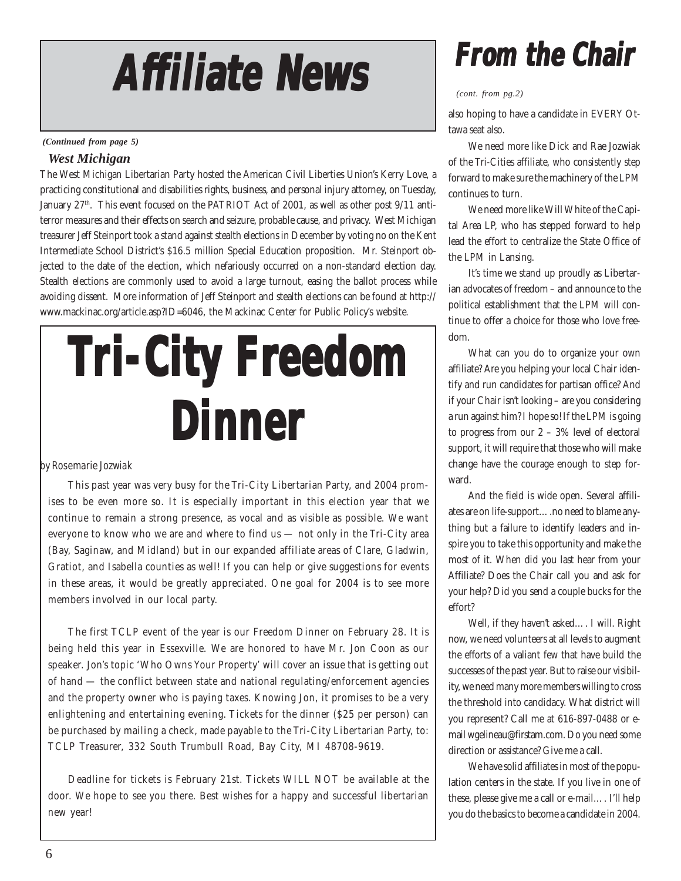# **Af Affiliate News filiate News filiate News**

*(Continued from page 5)*

### *West Michigan*

The West Michigan Libertarian Party hosted the American Civil Liberties Union's Kerry Love, a practicing constitutional and disabilities rights, business, and personal injury attorney, on Tuesday, January  $27<sup>th</sup>$ . This event focused on the PATRIOT Act of 2001, as well as other post  $9/11$  antiterror measures and their effects on search and seizure, probable cause, and privacy. West Michigan treasurer Jeff Steinport took a stand against stealth elections in December by voting no on the Kent Intermediate School District's \$16.5 million Special Education proposition. Mr. Steinport objected to the date of the election, which nefariously occurred on a non-standard election day. Stealth elections are commonly used to avoid a large turnout, easing the ballot process while avoiding dissent. More information of Jeff Steinport and stealth elections can be found at http:// www.mackinac.org/article.asp?ID=6046, the Mackinac Center for Public Policy's website.

# **Tri-City Fr ri-City Fr ri-City Freedom Dinner**

### by Rosemarie Jozwiak

This past year was very busy for the Tri-City Libertarian Party, and 2004 promises to be even more so. It is especially important in this election year that we continue to remain a strong presence, as vocal and as visible as possible. We want everyone to know who we are and where to find us — not only in the Tri-City area (Bay, Saginaw, and Midland) but in our expanded affiliate areas of Clare, Gladwin, Gratiot, and Isabella counties as well! If you can help or give suggestions for events in these areas, it would be greatly appreciated. One goal for 2004 is to see more members involved in our local party.

The first TCLP event of the year is our Freedom Dinner on February 28. It is being held this year in Essexville. We are honored to have Mr. Jon Coon as our speaker. Jon's topic 'Who Owns Your Property' will cover an issue that is getting out of hand — the conflict between state and national regulating/enforcement agencies and the property owner who is paying taxes. Knowing Jon, it promises to be a very enlightening and entertaining evening. Tickets for the dinner (\$25 per person) can be purchased by mailing a check, made payable to the Tri-City Libertarian Party, to: TCLP Treasurer, 332 South Trumbull Road, Bay City, MI 48708-9619.

Deadline for tickets is February 21st. Tickets WILL NOT be available at the door. We hope to see you there. Best wishes for a happy and successful libertarian new year!

## **From the Chair the Chair From Chair**

### *(cont. from pg.2)*

also hoping to have a candidate in EVERY Ottawa seat also.

We need more like Dick and Rae Jozwiak of the Tri-Cities affiliate, who consistently step forward to make sure the machinery of the LPM continues to turn.

We need more like Will White of the Capital Area LP, who has stepped forward to help lead the effort to centralize the State Office of the LPM in Lansing.

It's time we stand up proudly as Libertarian advocates of freedom – and announce to the political establishment that the LPM will continue to offer a choice for those who love freedom.

What can you do to organize your own affiliate? Are you helping your local Chair identify and run candidates for partisan office? And if your Chair isn't looking – are you considering a run against him? I hope so! If the LPM is going to progress from our 2 – 3% level of electoral support, it will require that those who will make change have the courage enough to step forward.

And the field is wide open. Several affiliates are on life-support….no need to blame anything but a failure to identify leaders and inspire you to take this opportunity and make the most of it. When did you last hear from your Affiliate? Does the Chair call you and ask for your help? Did you send a couple bucks for the effort?

Well, if they haven't asked…. I will. Right now, we need volunteers at all levels to augment the efforts of a valiant few that have build the successes of the past year. But to raise our visibility, we need many more members willing to cross the threshold into candidacy. What district will you represent? Call me at 616-897-0488 or email wgelineau@firstam.com. Do you need some direction or assistance? Give me a call.

We have solid affiliates in most of the population centers in the state. If you live in one of these, please give me a call or e-mail…. I'll help you do the basics to become a candidate in 2004.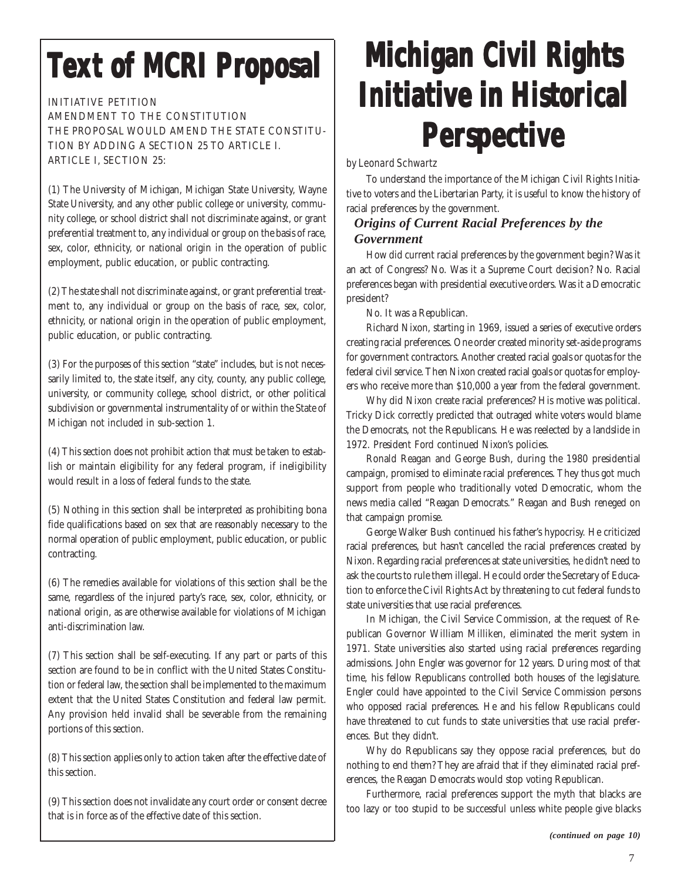## **Text of MCRI Proposal**

INITIATIVE PETITION

AMENDMENT TO THE CONSTITUTION THE PROPOSAL WOULD AMEND THE STATE CONSTITU-TION BY ADDING A SECTION 25 TO ARTICLE I. ARTICLE I, SECTION 25:

(1) The University of Michigan, Michigan State University, Wayne State University, and any other public college or university, community college, or school district shall not discriminate against, or grant preferential treatment to, any individual or group on the basis of race, sex, color, ethnicity, or national origin in the operation of public employment, public education, or public contracting.

(2) The state shall not discriminate against, or grant preferential treatment to, any individual or group on the basis of race, sex, color, ethnicity, or national origin in the operation of public employment, public education, or public contracting.

(3) For the purposes of this section "state" includes, but is not necessarily limited to, the state itself, any city, county, any public college, university, or community college, school district, or other political subdivision or governmental instrumentality of or within the State of Michigan not included in sub-section 1.

(4) This section does not prohibit action that must be taken to establish or maintain eligibility for any federal program, if ineligibility would result in a loss of federal funds to the state.

(5) Nothing in this section shall be interpreted as prohibiting bona fide qualifications based on sex that are reasonably necessary to the normal operation of public employment, public education, or public contracting.

(6) The remedies available for violations of this section shall be the same, regardless of the injured party's race, sex, color, ethnicity, or national origin, as are otherwise available for violations of Michigan anti-discrimination law.

(7) This section shall be self-executing. If any part or parts of this section are found to be in conflict with the United States Constitution or federal law, the section shall be implemented to the maximum extent that the United States Constitution and federal law permit. Any provision held invalid shall be severable from the remaining portions of this section.

(8) This section applies only to action taken after the effective date of this section.

(9) This section does not invalidate any court order or consent decree that is in force as of the effective date of this section.

## **Michigan Civil Rights Michigan Civil Rights Rights Initiative in Historical Initiative in Initiative in Historical Perspective**

### by Leonard Schwartz

To understand the importance of the Michigan Civil Rights Initiative to voters and the Libertarian Party, it is useful to know the history of racial preferences by the government.

### *Origins of Current Racial Preferences by the Government*

How did current racial preferences by the government begin? Was it an act of Congress? No. Was it a Supreme Court decision? No. Racial preferences began with presidential executive orders. Was it a Democratic president?

No. It was a Republican.

Richard Nixon, starting in 1969, issued a series of executive orders creating racial preferences. One order created minority set-aside programs for government contractors. Another created racial goals or quotas for the federal civil service. Then Nixon created racial goals or quotas for employers who receive more than \$10,000 a year from the federal government.

Why did Nixon create racial preferences? His motive was political. Tricky Dick correctly predicted that outraged white voters would blame the Democrats, not the Republicans. He was reelected by a landslide in 1972. President Ford continued Nixon's policies.

Ronald Reagan and George Bush, during the 1980 presidential campaign, promised to eliminate racial preferences. They thus got much support from people who traditionally voted Democratic, whom the news media called "Reagan Democrats." Reagan and Bush reneged on that campaign promise.

George Walker Bush continued his father's hypocrisy. He criticized racial preferences, but hasn't cancelled the racial preferences created by Nixon. Regarding racial preferences at state universities, he didn't need to ask the courts to rule them illegal. He could order the Secretary of Education to enforce the Civil Rights Act by threatening to cut federal funds to state universities that use racial preferences.

In Michigan, the Civil Service Commission, at the request of Republican Governor William Milliken, eliminated the merit system in 1971. State universities also started using racial preferences regarding admissions. John Engler was governor for 12 years. During most of that time, his fellow Republicans controlled both houses of the legislature. Engler could have appointed to the Civil Service Commission persons who opposed racial preferences. He and his fellow Republicans could have threatened to cut funds to state universities that use racial preferences. But they didn't.

Why do Republicans say they oppose racial preferences, but do nothing to end them? They are afraid that if they eliminated racial preferences, the Reagan Democrats would stop voting Republican.

Furthermore, racial preferences support the myth that blacks are too lazy or too stupid to be successful unless white people give blacks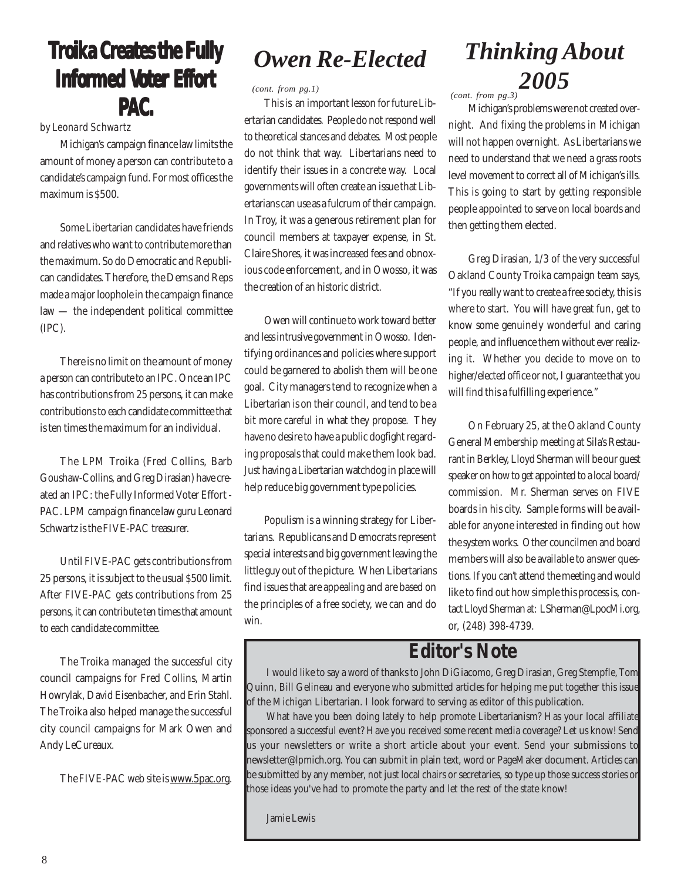### **Troika Creates the Fully Informed Voter Effort PAC.**

by Leonard Schwartz

Michigan's campaign finance law limits the amount of money a person can contribute to a candidate's campaign fund. For most offices the maximum is \$500.

Some Libertarian candidates have friends and relatives who want to contribute more than the maximum. So do Democratic and Republican candidates. Therefore, the Dems and Reps made a major loophole in the campaign finance law — the independent political committee (IPC).

There is no limit on the amount of money a person can contribute to an IPC. Once an IPC has contributions from 25 persons, it can make contributions to each candidate committee that is ten times the maximum for an individual.

The LPM Troika (Fred Collins, Barb Goushaw-Collins, and Greg Dirasian) have created an IPC: the Fully Informed Voter Effort - PAC. LPM campaign finance law guru Leonard Schwartz is the FIVE-PAC treasurer.

Until FIVE-PAC gets contributions from 25 persons, it is subject to the usual \$500 limit. After FIVE-PAC gets contributions from 25 persons, it can contribute ten times that amount to each candidate committee.

The Troika managed the successful city council campaigns for Fred Collins, Martin Howrylak, David Eisenbacher, and Erin Stahl. The Troika also helped manage the successful city council campaigns for Mark Owen and Andy LeCureaux.

The FIVE-PAC web site is www.5pac.org.

### *Owen Re-Elected*

*(cont. from pg.1) (cont. from pg.3)*

This is an important lesson for future Libertarian candidates. People do not respond well to theoretical stances and debates. Most people do not think that way. Libertarians need to identify their issues in a concrete way. Local governments will often create an issue that Libertarians can use as a fulcrum of their campaign. In Troy, it was a generous retirement plan for council members at taxpayer expense, in St. Claire Shores, it was increased fees and obnoxious code enforcement, and in Owosso, it was the creation of an historic district.

Owen will continue to work toward better and less intrusive government in Owosso. Identifying ordinances and policies where support could be garnered to abolish them will be one goal. City managers tend to recognize when a Libertarian is on their council, and tend to be a bit more careful in what they propose. They have no desire to have a public dogfight regarding proposals that could make them look bad. Just having a Libertarian watchdog in place will help reduce big government type policies.

Populism is a winning strategy for Libertarians. Republicans and Democrats represent special interests and big government leaving the little guy out of the picture. When Libertarians find issues that are appealing and are based on the principles of a free society, we can and do win.

### *Thinking About 2005*

Michigan's problems were not created overnight. And fixing the problems in Michigan will not happen overnight. As Libertarians we need to understand that we need a grass roots level movement to correct all of Michigan's ills. This is going to start by getting responsible people appointed to serve on local boards and then getting them elected.

Greg Dirasian, 1/3 of the very successful Oakland County Troika campaign team says, "If you really want to create a free society, this is where to start. You will have great fun, get to know some genuinely wonderful and caring people, and influence them without ever realizing it. Whether you decide to move on to higher/elected office or not, I guarantee that you will find this a fulfilling experience."

On February 25, at the Oakland County General Membership meeting at Sila's Restaurant in Berkley, Lloyd Sherman will be our guest speaker on how to get appointed to a local board/ commission. Mr. Sherman serves on FIVE boards in his city. Sample forms will be available for anyone interested in finding out how the system works. Other councilmen and board members will also be available to answer questions. If you can't attend the meeting and would like to find out how simple this process is, contact Lloyd Sherman at: LSherman@LpocMi.org, or, (248) 398-4739.

### **Editor's Note**

I would like to say a word of thanks to John DiGiacomo, Greg Dirasian, Greg Stempfle, Tom Quinn, Bill Gelineau and everyone who submitted articles for helping me put together this issue of the Michigan Libertarian. I look forward to serving as editor of this publication.

What have you been doing lately to help promote Libertarianism? Has your local affiliate sponsored a successful event? Have you received some recent media coverage? Let us know! Send us your newsletters or write a short article about your event. Send your submissions to newsletter@lpmich.org. You can submit in plain text, word or PageMaker document. Articles can be submitted by any member, not just local chairs or secretaries, so type up those success stories or those ideas you've had to promote the party and let the rest of the state know!

Jamie Lewis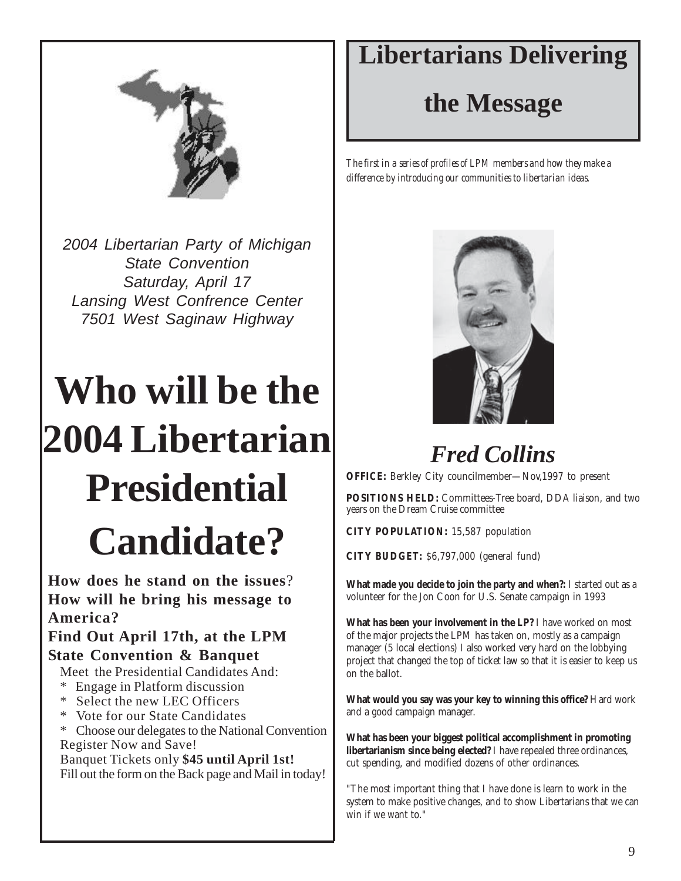

*2004 Libertarian Party of Michigan State Convention Saturday, April 17 Lansing West Confrence Center 7501 West Saginaw Highway*

# **Who will be the 2004 Libertarian Presidential Candidate?**

**How does he stand on the issues**? **How will he bring his message to America?**

### **Find Out April 17th, at the LPM State Convention & Banquet**

Meet the Presidential Candidates And:

- \* Engage in Platform discussion
- \* Select the new LEC Officers
- \* Vote for our State Candidates

\* Choose our delegates to the National Convention Register Now and Save!

Banquet Tickets only **\$45 until April 1st!** Fill out the form on the Back page and Mail in today!

### **Libertarians Delivering**

**the Message**

*The first in a series of profiles of LPM members and how they make a difference by introducing our communities to libertarian ideas.*



*Fred Collins*

**OFFICE:** Berkley City councilmember—Nov,1997 to present

**POSITIONS HELD:** Committees-Tree board, DDA liaison, and two years on the Dream Cruise committee

**CITY POPULATION:** 15,587 population

**CITY BUDGET:** \$6,797,000 (general fund)

**What made you decide to join the party and when?:** I started out as a volunteer for the Jon Coon for U.S. Senate campaign in 1993

**What has been your involvement in the LP?** I have worked on most of the major projects the LPM has taken on, mostly as a campaign manager (5 local elections) I also worked very hard on the lobbying project that changed the top of ticket law so that it is easier to keep us on the ballot.

**What would you say was your key to winning this office?** Hard work and a good campaign manager.

**What has been your biggest political accomplishment in promoting libertarianism since being elected?** I have repealed three ordinances, cut spending, and modified dozens of other ordinances.

"The most important thing that I have done is learn to work in the system to make positive changes, and to show Libertarians that we can win if we want to."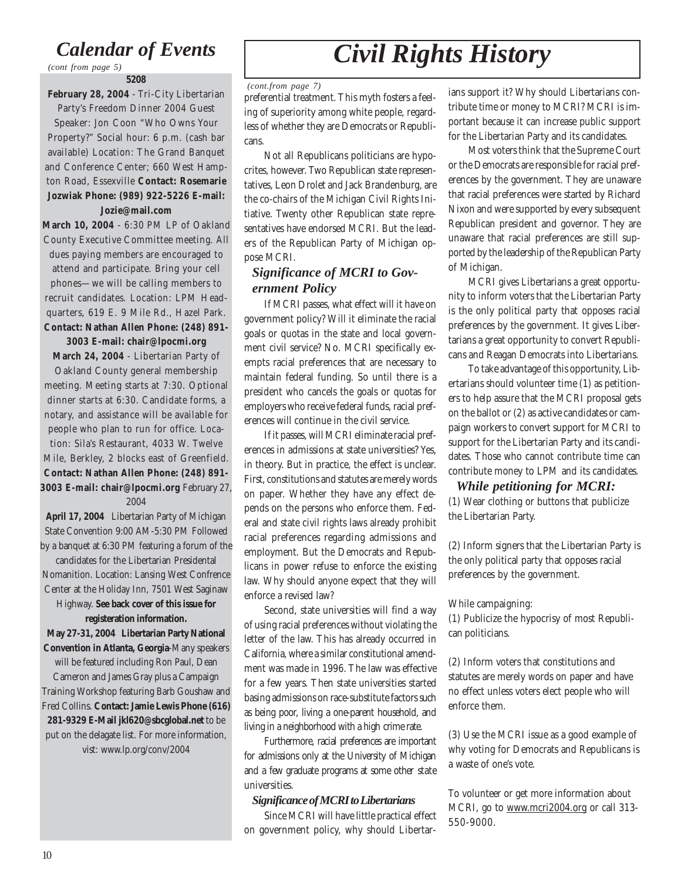### *Calendar of Events*

*(cont from page 5)*

#### **5208**

**February 28, 2004** - Tri-City Libertarian

Party's Freedom Dinner 2004 Guest Speaker: Jon Coon "Who Owns Your Property?" Social hour: 6 p.m. (cash bar available) Location: The Grand Banquet and Conference Center; 660 West Hampton Road, Essexville **Contact: Rosemarie Jozwiak Phone: (989) 922-5226 E-mail:**

### **Jozie@mail.com**

**March 10, 2004** - 6:30 PM LP of Oakland County Executive Committee meeting. All dues paying members are encouraged to attend and participate. Bring your cell phones—we will be calling members to recruit candidates. Location: LPM Headquarters, 619 E. 9 Mile Rd., Hazel Park. **Contact: Nathan Allen Phone: (248) 891-**

### **3003 E-mail: chair@lpocmi.org**

**March 24, 2004** - Libertarian Party of

Oakland County general membership meeting. Meeting starts at 7:30. Optional dinner starts at 6:30. Candidate forms, a notary, and assistance will be available for people who plan to run for office. Location: Sila's Restaurant, 4033 W. Twelve Mile, Berkley, 2 blocks east of Greenfield. **Contact: Nathan Allen Phone: (248) 891- 3003 E-mail: chair@lpocmi.org** February 27, 2004

**April 17, 2004** Libertarian Party of Michigan State Convention 9:00 AM-5:30 PM Followed by a banquet at 6:30 PM featuring a forum of the

candidates for the Libertarian Presidental Nomanition. Location: Lansing West Confrence Center at the Holiday Inn, 7501 West Saginaw

Highway. **See back cover of this issue for registeration information.**

**May 27-31, 2004 Libertarian Party National Convention in Atlanta, Georgia**-Many speakers will be featured including Ron Paul, Dean

Cameron and James Gray plus a Campaign Training Workshop featuring Barb Goushaw and Fred Collins. **Contact: Jamie Lewis Phone (616) 281-9329 E-Mail jkl620@sbcglobal.net** to be put on the delagate list. For more information, vist: www.lp.org/conv/2004

## *Civil Rights History*

### *(cont.from page 7)*

preferential treatment. This myth fosters a feeling of superiority among white people, regardless of whether they are Democrats or Republicans.

Not all Republicans politicians are hypocrites, however. Two Republican state representatives, Leon Drolet and Jack Brandenburg, are the co-chairs of the Michigan Civil Rights Initiative. Twenty other Republican state representatives have endorsed MCRI. But the leaders of the Republican Party of Michigan oppose MCRI.

### *Significance of MCRI to Government Policy*

If MCRI passes, what effect will it have on government policy? Will it eliminate the racial goals or quotas in the state and local government civil service? No. MCRI specifically exempts racial preferences that are necessary to maintain federal funding. So until there is a president who cancels the goals or quotas for employers who receive federal funds, racial preferences will continue in the civil service.

If it passes, will MCRI eliminate racial preferences in admissions at state universities? Yes, in theory. But in practice, the effect is unclear. First, constitutions and statutes are merely words on paper. Whether they have any effect depends on the persons who enforce them. Federal and state civil rights laws already prohibit racial preferences regarding admissions and employment. But the Democrats and Republicans in power refuse to enforce the existing law. Why should anyone expect that they will enforce a revised law?

Second, state universities will find a way of using racial preferences without violating the letter of the law. This has already occurred in California, where a similar constitutional amendment was made in 1996. The law was effective for a few years. Then state universities started basing admissions on race-substitute factors such as being poor, living a one-parent household, and living in a neighborhood with a high crime rate.

Furthermore, racial preferences are important for admissions only at the University of Michigan and a few graduate programs at some other state universities.

### *Significance of MCRI to Libertarians*

Since MCRI will have little practical effect on government policy, why should Libertarians support it? Why should Libertarians contribute time or money to MCRI? MCRI is important because it can increase public support for the Libertarian Party and its candidates.

Most voters think that the Supreme Court or the Democrats are responsible for racial preferences by the government. They are unaware that racial preferences were started by Richard Nixon and were supported by every subsequent Republican president and governor. They are unaware that racial preferences are still supported by the leadership of the Republican Party of Michigan.

MCRI gives Libertarians a great opportunity to inform voters that the Libertarian Party is the only political party that opposes racial preferences by the government. It gives Libertarians a great opportunity to convert Republicans and Reagan Democrats into Libertarians.

To take advantage of this opportunity, Libertarians should volunteer time (1) as petitioners to help assure that the MCRI proposal gets on the ballot or (2) as active candidates or campaign workers to convert support for MCRI to support for the Libertarian Party and its candidates. Those who cannot contribute time can contribute money to LPM and its candidates.

### *While petitioning for MCRI:*

(1) Wear clothing or buttons that publicize the Libertarian Party.

(2) Inform signers that the Libertarian Party is the only political party that opposes racial preferences by the government.

### While campaigning:

(1) Publicize the hypocrisy of most Republican politicians.

(2) Inform voters that constitutions and statutes are merely words on paper and have no effect unless voters elect people who will enforce them.

(3) Use the MCRI issue as a good example of why voting for Democrats and Republicans is a waste of one's vote.

To volunteer or get more information about MCRI, go to www.mcri2004.org or call 313- 550-9000.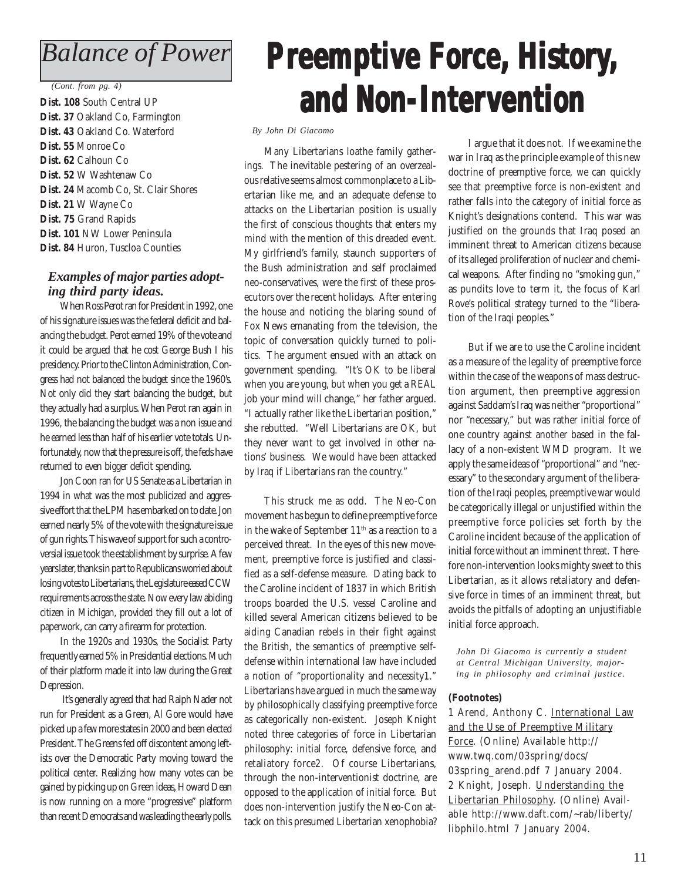### *Balance of Power*

#### *(Cont. from pg. 4)*

**Dist. 108** South Central UP **Dist. 37** Oakland Co, Farmington **Dist. 43** Oakland Co. Waterford **Dist. 55** Monroe Co **Dist. 62** Calhoun Co **Dist. 52** W Washtenaw Co **Dist. 24** Macomb Co, St. Clair Shores **Dist. 21** W Wayne Co **Dist. 75** Grand Rapids **Dist. 101** NW Lower Peninsula **Dist. 84** Huron, Tuscloa Counties

### *Examples of major parties adopting third party ideas.*

When Ross Perot ran for President in 1992, one of his signature issues was the federal deficit and balancing the budget. Perot earned 19% of the vote and it could be argued that he cost George Bush I his presidency. Prior to the Clinton Administration, Congress had not balanced the budget since the 1960's. Not only did they start balancing the budget, but they actually had a surplus. When Perot ran again in 1996, the balancing the budget was a non issue and he earned less than half of his earlier vote totals. Unfortunately, now that the pressure is off, the feds have returned to even bigger deficit spending.

Jon Coon ran for US Senate as a Libertarian in 1994 in what was the most publicized and aggressive effort that the LPM has embarked on to date. Jon earned nearly 5% of the vote with the signature issue of gun rights. This wave of support for such a controversial issue took the establishment by surprise. A few years later, thanks in part to Republicans worried about losing votes to Libertarians, the Legislature eased CCW requirements across the state. Now every law abiding citizen in Michigan, provided they fill out a lot of paperwork, can carry a firearm for protection.

In the 1920s and 1930s, the Socialist Party frequently earned 5% in Presidential elections. Much of their platform made it into law during the Great Depression.

 It's generally agreed that had Ralph Nader not run for President as a Green, Al Gore would have picked up a few more states in 2000 and been elected President. The Greens fed off discontent among leftists over the Democratic Party moving toward the political center. Realizing how many votes can be gained by picking up on Green ideas, Howard Dean is now running on a more "progressive" platform than recent Democrats and was leading the early polls.

## **Preemptive Force, History, and Non-Intervention Non-Intervention and Non-Intervention**

#### *By John Di Giacomo*

Many Libertarians loathe family gatherings. The inevitable pestering of an overzealous relative seems almost commonplace to a Libertarian like me, and an adequate defense to attacks on the Libertarian position is usually the first of conscious thoughts that enters my mind with the mention of this dreaded event. My girlfriend's family, staunch supporters of the Bush administration and self proclaimed neo-conservatives, were the first of these prosecutors over the recent holidays. After entering the house and noticing the blaring sound of Fox News emanating from the television, the topic of conversation quickly turned to politics. The argument ensued with an attack on government spending. "It's OK to be liberal when you are young, but when you get a REAL job your mind will change," her father argued. "I actually rather like the Libertarian position," she rebutted. "Well Libertarians are OK, but they never want to get involved in other nations' business. We would have been attacked by Iraq if Libertarians ran the country."

This struck me as odd. The Neo-Con movement has begun to define preemptive force in the wake of September 11<sup>th</sup> as a reaction to a perceived threat. In the eyes of this new movement, preemptive force is justified and classified as a self-defense measure. Dating back to the Caroline incident of 1837 in which British troops boarded the U.S. vessel Caroline and killed several American citizens believed to be aiding Canadian rebels in their fight against the British, the semantics of preemptive selfdefense within international law have included a notion of "proportionality and necessity1." Libertarians have argued in much the same way by philosophically classifying preemptive force as categorically non-existent. Joseph Knight noted three categories of force in Libertarian philosophy: initial force, defensive force, and retaliatory force2. Of course Libertarians, through the non-interventionist doctrine, are opposed to the application of initial force. But does non-intervention justify the Neo-Con attack on this presumed Libertarian xenophobia?

I argue that it does not. If we examine the war in Iraq as the principle example of this new doctrine of preemptive force, we can quickly see that preemptive force is non-existent and rather falls into the category of initial force as Knight's designations contend. This war was justified on the grounds that Iraq posed an imminent threat to American citizens because of its alleged proliferation of nuclear and chemical weapons. After finding no "smoking gun," as pundits love to term it, the focus of Karl Rove's political strategy turned to the "liberation of the Iraqi peoples."

But if we are to use the Caroline incident as a measure of the legality of preemptive force within the case of the weapons of mass destruction argument, then preemptive aggression against Saddam's Iraq was neither "proportional" nor "necessary," but was rather initial force of one country against another based in the fallacy of a non-existent WMD program. It we apply the same ideas of "proportional" and "necessary" to the secondary argument of the liberation of the Iraqi peoples, preemptive war would be categorically illegal or unjustified within the preemptive force policies set forth by the Caroline incident because of the application of initial force without an imminent threat. Therefore non-intervention looks mighty sweet to this Libertarian, as it allows retaliatory and defensive force in times of an imminent threat, but avoids the pitfalls of adopting an unjustifiable initial force approach.

*John Di Giacomo is currently a student at Central Michigan University, majoring in philosophy and criminal justice.*

#### **(Footnotes)**

1 Arend, Anthony C. International Law and the Use of Preemptive Military Force. (Online) Available http:// www.twq.com/03spring/docs/ 03spring\_arend.pdf 7 January 2004. 2 Knight, Joseph. Understanding the Libertarian Philosophy. (Online) Available http://www.daft.com/~rab/liberty/ libphilo.html 7 January 2004.